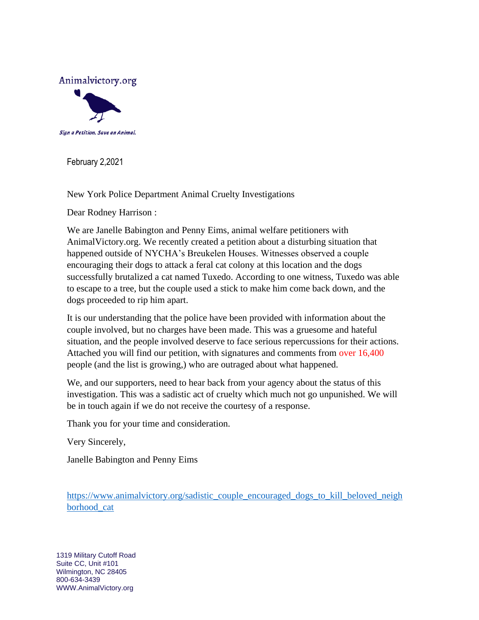

February 2,2021

New York Police Department Animal Cruelty Investigations

Dear Rodney Harrison :

We are Janelle Babington and Penny Eims, animal welfare petitioners with AnimalVictory.org. We recently created a petition about a disturbing situation that happened outside of NYCHA's Breukelen Houses. Witnesses observed a couple encouraging their dogs to attack a feral cat colony at this location and the dogs successfully brutalized a cat named Tuxedo. According to one witness, Tuxedo was able to escape to a tree, but the couple used a stick to make him come back down, and the dogs proceeded to rip him apart.

It is our understanding that the police have been provided with information about the couple involved, but no charges have been made. This was a gruesome and hateful situation, and the people involved deserve to face serious repercussions for their actions. Attached you will find our petition, with signatures and comments from over 16,400 people (and the list is growing,) who are outraged about what happened.

We, and our supporters, need to hear back from your agency about the status of this investigation. This was a sadistic act of cruelty which much not go unpunished. We will be in touch again if we do not receive the courtesy of a response.

Thank you for your time and consideration.

Very Sincerely,

Janelle Babington and Penny Eims

[https://www.animalvictory.org/sadistic\\_couple\\_encouraged\\_dogs\\_to\\_kill\\_beloved\\_neigh](https://www.animalvictory.org/sadistic_couple_encouraged_dogs_to_kill_beloved_neighborhood_cat) [borhood\\_cat](https://www.animalvictory.org/sadistic_couple_encouraged_dogs_to_kill_beloved_neighborhood_cat)

1319 Military Cutoff Road Suite CC, Unit #101 Wilmington, NC 28405 800-634-3439 WWW.AnimalVictory.org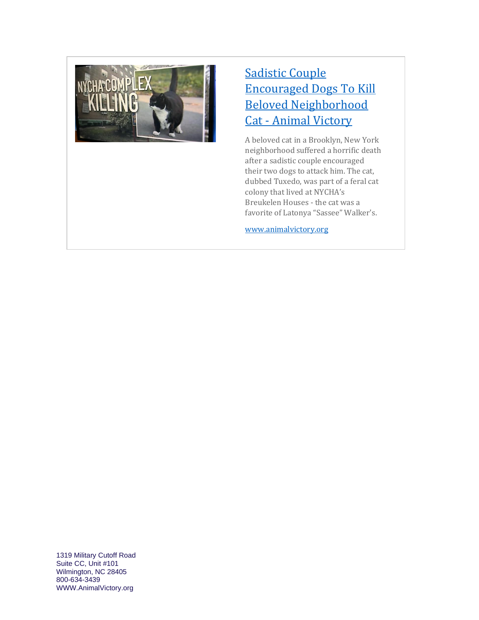

## [Sadistic Couple](https://www.animalvictory.org/sadistic_couple_encouraged_dogs_to_kill_beloved_neighborhood_cat)  [Encouraged Dogs To Kill](https://www.animalvictory.org/sadistic_couple_encouraged_dogs_to_kill_beloved_neighborhood_cat)  [Beloved Neighborhood](https://www.animalvictory.org/sadistic_couple_encouraged_dogs_to_kill_beloved_neighborhood_cat)  Cat - [Animal Victory](https://www.animalvictory.org/sadistic_couple_encouraged_dogs_to_kill_beloved_neighborhood_cat)

A beloved cat in a Brooklyn, New York neighborhood suffered a horrific death after a sadistic couple encouraged their two dogs to attack him. The cat, dubbed Tuxedo, was part of a feral cat colony that lived at NYCHA's Breukelen Houses - the cat was a favorite of Latonya "Sassee" Walker's.

[www.animalvictory.org](http://www.animalvictory.org/)